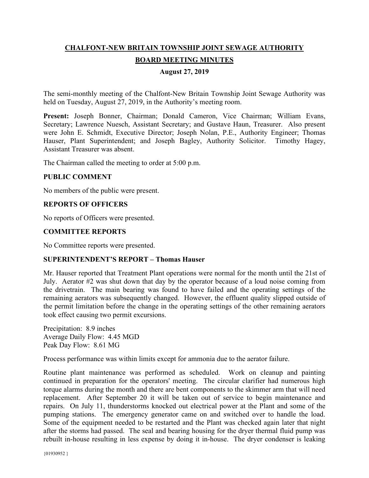# **CHALFONT-NEW BRITAIN TOWNSHIP JOINT SEWAGE AUTHORITY BOARD MEETING MINUTES**

#### **August 27, 2019**

The semi-monthly meeting of the Chalfont-New Britain Township Joint Sewage Authority was held on Tuesday, August 27, 2019, in the Authority's meeting room.

**Present:** Joseph Bonner, Chairman; Donald Cameron, Vice Chairman; William Evans, Secretary; Lawrence Nuesch, Assistant Secretary; and Gustave Haun, Treasurer. Also present were John E. Schmidt, Executive Director; Joseph Nolan, P.E., Authority Engineer; Thomas Hauser, Plant Superintendent; and Joseph Bagley, Authority Solicitor. Timothy Hagey, Assistant Treasurer was absent.

The Chairman called the meeting to order at 5:00 p.m.

## **PUBLIC COMMENT**

No members of the public were present.

## **REPORTS OF OFFICERS**

No reports of Officers were presented.

## **COMMITTEE REPORTS**

No Committee reports were presented.

#### **SUPERINTENDENT'S REPORT – Thomas Hauser**

Mr. Hauser reported that Treatment Plant operations were normal for the month until the 21st of July. Aerator #2 was shut down that day by the operator because of a loud noise coming from the drivetrain. The main bearing was found to have failed and the operating settings of the remaining aerators was subsequently changed. However, the effluent quality slipped outside of the permit limitation before the change in the operating settings of the other remaining aerators took effect causing two permit excursions.

Precipitation: 8.9 inches Average Daily Flow: 4.45 MGD Peak Day Flow: 8.61 MG

Process performance was within limits except for ammonia due to the aerator failure.

Routine plant maintenance was performed as scheduled. Work on cleanup and painting continued in preparation for the operators' meeting. The circular clarifier had numerous high torque alarms during the month and there are bent components to the skimmer arm that will need replacement. After September 20 it will be taken out of service to begin maintenance and repairs. On July 11, thunderstorms knocked out electrical power at the Plant and some of the pumping stations. The emergency generator came on and switched over to handle the load. Some of the equipment needed to be restarted and the Plant was checked again later that night after the storms had passed. The seal and bearing housing for the dryer thermal fluid pump was rebuilt in-house resulting in less expense by doing it in-house. The dryer condenser is leaking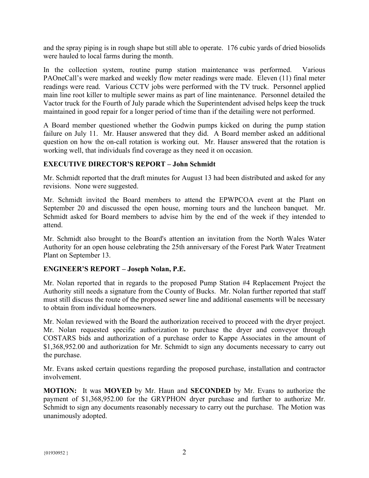and the spray piping is in rough shape but still able to operate. 176 cubic yards of dried biosolids were hauled to local farms during the month.

In the collection system, routine pump station maintenance was performed. Various PAOneCall's were marked and weekly flow meter readings were made. Eleven (11) final meter readings were read. Various CCTV jobs were performed with the TV truck. Personnel applied main line root killer to multiple sewer mains as part of line maintenance. Personnel detailed the Vactor truck for the Fourth of July parade which the Superintendent advised helps keep the truck maintained in good repair for a longer period of time than if the detailing were not performed.

A Board member questioned whether the Godwin pumps kicked on during the pump station failure on July 11. Mr. Hauser answered that they did. A Board member asked an additional question on how the on-call rotation is working out. Mr. Hauser answered that the rotation is working well, that individuals find coverage as they need it on occasion.

# **EXECUTIVE DIRECTOR'S REPORT – John Schmidt**

Mr. Schmidt reported that the draft minutes for August 13 had been distributed and asked for any revisions. None were suggested.

Mr. Schmidt invited the Board members to attend the EPWPCOA event at the Plant on September 20 and discussed the open house, morning tours and the luncheon banquet. Mr. Schmidt asked for Board members to advise him by the end of the week if they intended to attend.

Mr. Schmidt also brought to the Board's attention an invitation from the North Wales Water Authority for an open house celebrating the 25th anniversary of the Forest Park Water Treatment Plant on September 13.

#### **ENGINEER'S REPORT – Joseph Nolan, P.E.**

Mr. Nolan reported that in regards to the proposed Pump Station #4 Replacement Project the Authority still needs a signature from the County of Bucks. Mr. Nolan further reported that staff must still discuss the route of the proposed sewer line and additional easements will be necessary to obtain from individual homeowners.

Mr. Nolan reviewed with the Board the authorization received to proceed with the dryer project. Mr. Nolan requested specific authorization to purchase the dryer and conveyor through COSTARS bids and authorization of a purchase order to Kappe Associates in the amount of \$1,368,952.00 and authorization for Mr. Schmidt to sign any documents necessary to carry out the purchase.

Mr. Evans asked certain questions regarding the proposed purchase, installation and contractor involvement.

**MOTION:** It was **MOVED** by Mr. Haun and **SECONDED** by Mr. Evans to authorize the payment of \$1,368,952.00 for the GRYPHON dryer purchase and further to authorize Mr. Schmidt to sign any documents reasonably necessary to carry out the purchase. The Motion was unanimously adopted.